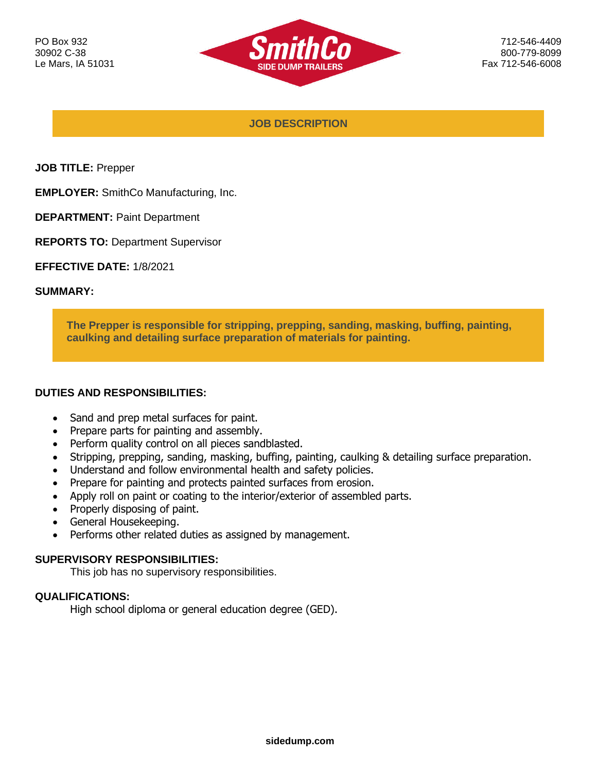

712-546-4409 800-779-8099 Fax 712-546-6008

**JOB DESCRIPTION**

**JOB TITLE:** Prepper

**EMPLOYER:** SmithCo Manufacturing, Inc.

**DEPARTMENT:** Paint Department

**REPORTS TO:** Department Supervisor

**EFFECTIVE DATE:** 1/8/2021

#### **SUMMARY:**

**The Prepper is responsible for stripping, prepping, sanding, masking, buffing, painting, caulking and detailing surface preparation of materials for painting.**

### **DUTIES AND RESPONSIBILITIES:**

- Sand and prep metal surfaces for paint.
- Prepare parts for painting and assembly.
- Perform quality control on all pieces sandblasted.
- Stripping, prepping, sanding, masking, buffing, painting, caulking & detailing surface preparation.
- Understand and follow environmental health and safety policies.
- Prepare for painting and protects painted surfaces from erosion.
- Apply roll on paint or coating to the interior/exterior of assembled parts.
- Properly disposing of paint.
- General Housekeeping.
- Performs other related duties as assigned by management.

### **SUPERVISORY RESPONSIBILITIES:**

This job has no supervisory responsibilities.

### **QUALIFICATIONS:**

High school diploma or general education degree (GED).